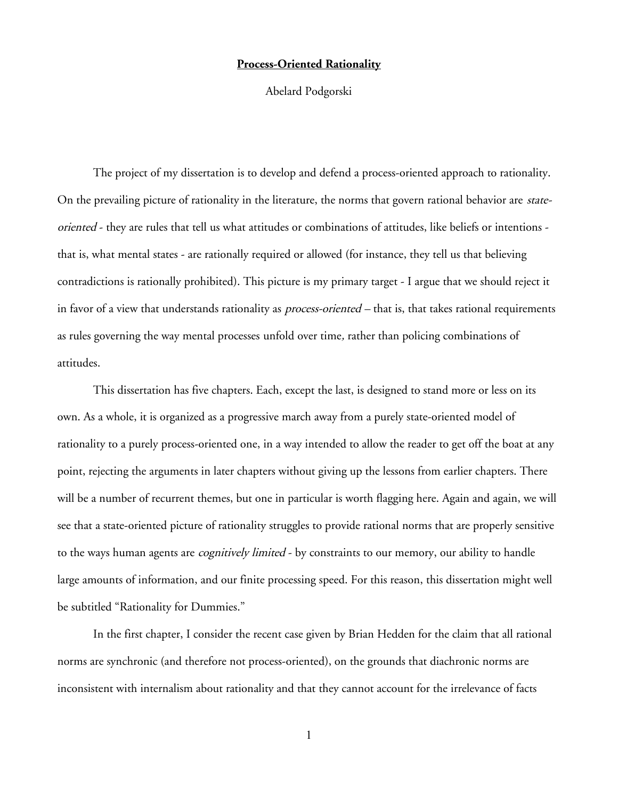## **Process-Oriented Rationality**

Abelard Podgorski

The project of my dissertation is to develop and defend a process-oriented approach to rationality. On the prevailing picture of rationality in the literature, the norms that govern rational behavior are stateoriented - they are rules that tell us what attitudes or combinations of attitudes, like beliefs or intentions that is, what mental states - are rationally required or allowed (for instance, they tell us that believing contradictions is rationally prohibited). This picture is my primary target - I argue that we should reject it in favor of a view that understands rationality as *process-oriented* – that is, that takes rational requirements as rules governing the way mental processes unfold over time, rather than policing combinations of attitudes.

This dissertation has five chapters. Each, except the last, is designed to stand more or less on its own. As a whole, it is organized as a progressive march away from a purely state-oriented model of rationality to a purely process-oriented one, in a way intended to allow the reader to get off the boat at any point, rejecting the arguments in later chapters without giving up the lessons from earlier chapters. There will be a number of recurrent themes, but one in particular is worth flagging here. Again and again, we will see that a state-oriented picture of rationality struggles to provide rational norms that are properly sensitive to the ways human agents are *cognitively limited* - by constraints to our memory, our ability to handle large amounts of information, and our finite processing speed. For this reason, this dissertation might well be subtitled "Rationality for Dummies."

In the first chapter, I consider the recent case given by Brian Hedden for the claim that all rational norms are synchronic (and therefore not process-oriented), on the grounds that diachronic norms are inconsistent with internalism about rationality and that they cannot account for the irrelevance of facts

1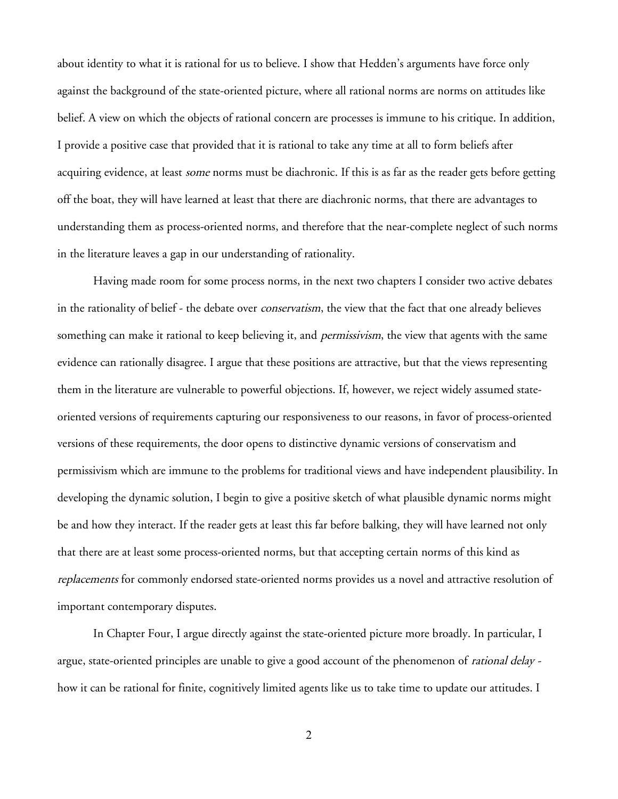about identity to what it is rational for us to believe. I show that Hedden's arguments have force only against the background of the state-oriented picture, where all rational norms are norms on attitudes like belief. A view on which the objects of rational concern are processes is immune to his critique. In addition, I provide a positive case that provided that it is rational to take any time at all to form beliefs after acquiring evidence, at least *some* norms must be diachronic. If this is as far as the reader gets before getting off the boat, they will have learned at least that there are diachronic norms, that there are advantages to understanding them as process-oriented norms, and therefore that the near-complete neglect of such norms in the literature leaves a gap in our understanding of rationality.

Having made room for some process norms, in the next two chapters I consider two active debates in the rationality of belief - the debate over *conservatism*, the view that the fact that one already believes something can make it rational to keep believing it, and *permissivism*, the view that agents with the same evidence can rationally disagree. I argue that these positions are attractive, but that the views representing them in the literature are vulnerable to powerful objections. If, however, we reject widely assumed stateoriented versions of requirements capturing our responsiveness to our reasons, in favor of process-oriented versions of these requirements, the door opens to distinctive dynamic versions of conservatism and permissivism which are immune to the problems for traditional views and have independent plausibility. In developing the dynamic solution, I begin to give a positive sketch of what plausible dynamic norms might be and how they interact. If the reader gets at least this far before balking, they will have learned not only that there are at least some process-oriented norms, but that accepting certain norms of this kind as replacements for commonly endorsed state-oriented norms provides us a novel and attractive resolution of important contemporary disputes.

In Chapter Four, I argue directly against the state-oriented picture more broadly. In particular, I argue, state-oriented principles are unable to give a good account of the phenomenon of rational delay how it can be rational for finite, cognitively limited agents like us to take time to update our attitudes. I

2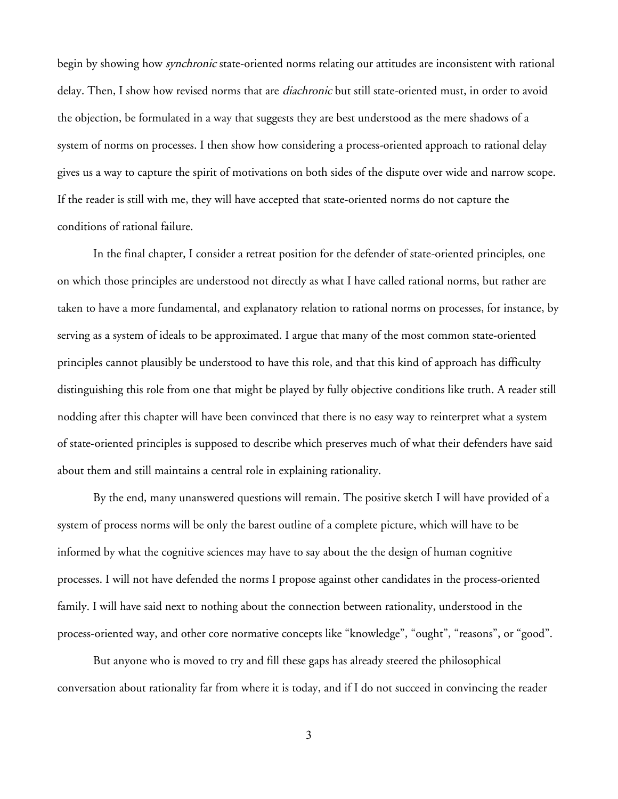begin by showing how *synchronic* state-oriented norms relating our attitudes are inconsistent with rational delay. Then, I show how revised norms that are *diachronic* but still state-oriented must, in order to avoid the objection, be formulated in a way that suggests they are best understood as the mere shadows of a system of norms on processes. I then show how considering a process-oriented approach to rational delay gives us a way to capture the spirit of motivations on both sides of the dispute over wide and narrow scope. If the reader is still with me, they will have accepted that state-oriented norms do not capture the conditions of rational failure.

In the final chapter, I consider a retreat position for the defender of state-oriented principles, one on which those principles are understood not directly as what I have called rational norms, but rather are taken to have a more fundamental, and explanatory relation to rational norms on processes, for instance, by serving as a system of ideals to be approximated. I argue that many of the most common state-oriented principles cannot plausibly be understood to have this role, and that this kind of approach has difficulty distinguishing this role from one that might be played by fully objective conditions like truth. A reader still nodding after this chapter will have been convinced that there is no easy way to reinterpret what a system of state-oriented principles is supposed to describe which preserves much of what their defenders have said about them and still maintains a central role in explaining rationality.

By the end, many unanswered questions will remain. The positive sketch I will have provided of a system of process norms will be only the barest outline of a complete picture, which will have to be informed by what the cognitive sciences may have to say about the the design of human cognitive processes. I will not have defended the norms I propose against other candidates in the process-oriented family. I will have said next to nothing about the connection between rationality, understood in the process-oriented way, and other core normative concepts like "knowledge", "ought", "reasons", or "good".

But anyone who is moved to try and fill these gaps has already steered the philosophical conversation about rationality far from where it is today, and if I do not succeed in convincing the reader